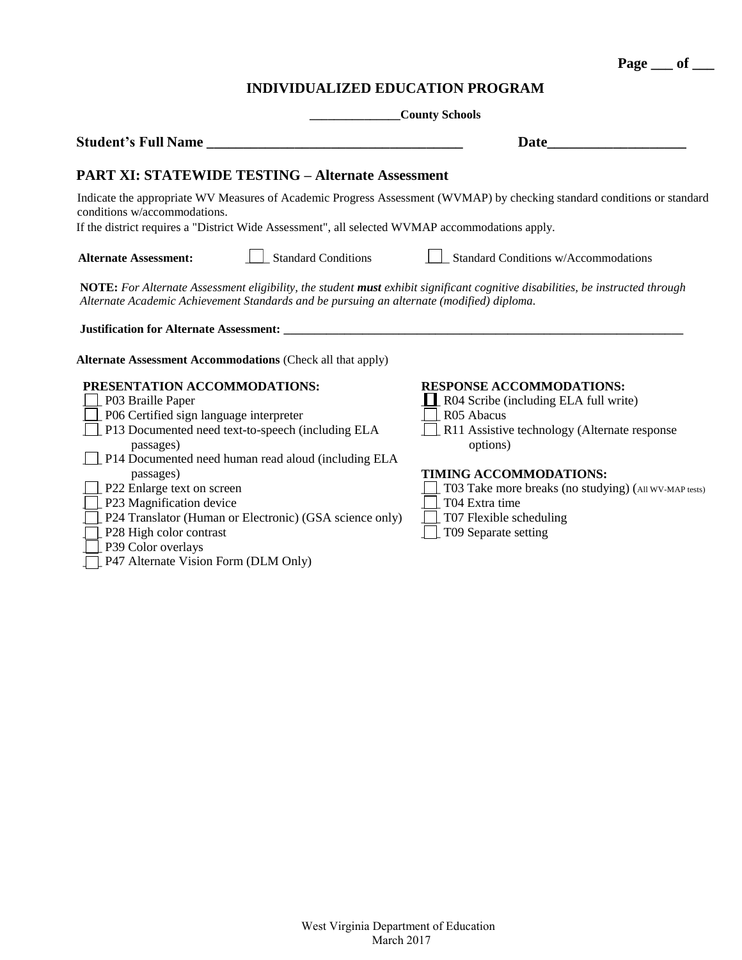**Page \_\_\_ of \_\_\_**

## **INDIVIDUALIZED EDUCATION PROGRAM**

**\_\_\_\_\_\_\_\_\_\_\_\_\_\_\_County Schools**

| Student's Full Name                                                                                                                                                                                                                                         | <b>Date</b>                                           |  |  |  |  |  |
|-------------------------------------------------------------------------------------------------------------------------------------------------------------------------------------------------------------------------------------------------------------|-------------------------------------------------------|--|--|--|--|--|
| <b>PART XI: STATEWIDE TESTING - Alternate Assessment</b>                                                                                                                                                                                                    |                                                       |  |  |  |  |  |
| Indicate the appropriate WV Measures of Academic Progress Assessment (WVMAP) by checking standard conditions or standard<br>conditions w/accommodations.<br>If the district requires a "District Wide Assessment", all selected WVMAP accommodations apply. |                                                       |  |  |  |  |  |
| <b>Standard Conditions</b><br><b>Alternate Assessment:</b>                                                                                                                                                                                                  | Standard Conditions w/Accommodations                  |  |  |  |  |  |
| NOTE: For Alternate Assessment eligibility, the student must exhibit significant cognitive disabilities, be instructed through<br>Alternate Academic Achievement Standards and be pursuing an alternate (modified) diploma.                                 |                                                       |  |  |  |  |  |
|                                                                                                                                                                                                                                                             |                                                       |  |  |  |  |  |
| <b>Alternate Assessment Accommodations (Check all that apply)</b>                                                                                                                                                                                           |                                                       |  |  |  |  |  |
| PRESENTATION ACCOMMODATIONS:                                                                                                                                                                                                                                | <b>RESPONSE ACCOMMODATIONS:</b>                       |  |  |  |  |  |
| P03 Braille Paper                                                                                                                                                                                                                                           | R04 Scribe (including ELA full write)                 |  |  |  |  |  |
| P06 Certified sign language interpreter                                                                                                                                                                                                                     | R05 Abacus                                            |  |  |  |  |  |
| P13 Documented need text-to-speech (including ELA                                                                                                                                                                                                           | R11 Assistive technology (Alternate response          |  |  |  |  |  |
| passages)                                                                                                                                                                                                                                                   | options)                                              |  |  |  |  |  |
| P14 Documented need human read aloud (including ELA                                                                                                                                                                                                         |                                                       |  |  |  |  |  |
| passages)                                                                                                                                                                                                                                                   | TIMING ACCOMMODATIONS:                                |  |  |  |  |  |
| P22 Enlarge text on screen                                                                                                                                                                                                                                  | T03 Take more breaks (no studying) (All WV-MAP tests) |  |  |  |  |  |
| P23 Magnification device                                                                                                                                                                                                                                    | T04 Extra time                                        |  |  |  |  |  |
| P24 Translator (Human or Electronic) (GSA science only)                                                                                                                                                                                                     | T07 Flexible scheduling                               |  |  |  |  |  |
| P28 High color contrast                                                                                                                                                                                                                                     | T09 Separate setting                                  |  |  |  |  |  |
| P39 Color overlays                                                                                                                                                                                                                                          |                                                       |  |  |  |  |  |
| P47 Alternate Vision Form (DLM Only)                                                                                                                                                                                                                        |                                                       |  |  |  |  |  |